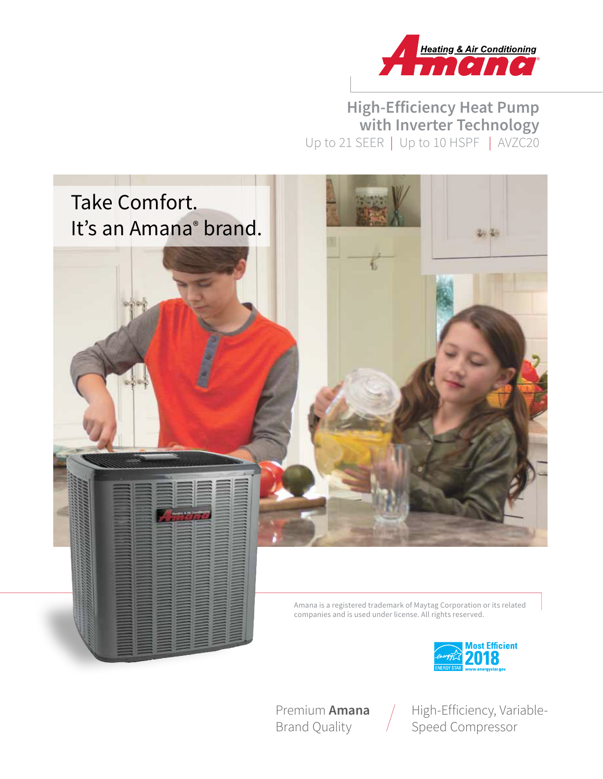

# **High-Efficiency Heat Pump with Inverter Technology** Up to 21 SEER | Up to 10 HSPF | AVZC20





Premium **Amana** Brand Quality

High-Efficiency, Variable-Speed Compressor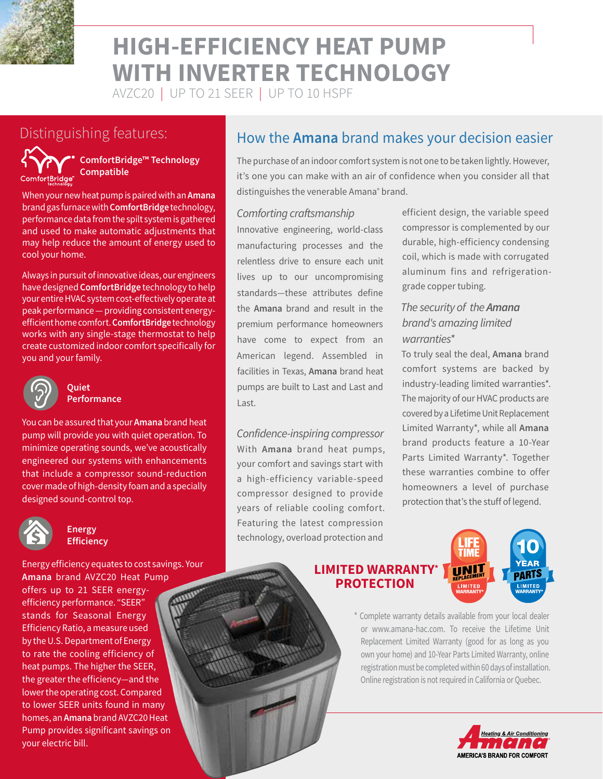

# **HIGH-EFFICIENCY HEAT PUMP WITH INVERTER TECHNOLOGY**

AVZC20 | UP TO 21 SEER | UP TO 10 HSPF



**ComfortBridge™ Technology Compatible**

When your new heat pump is paired with an **Amana** brand gas furnace with **ComfortBridge** technology, performance data from the spilt system is gathered and used to make automatic adjustments that may help reduce the amount of energy used to cool your home.

Always in pursuit of innovative ideas, our engineers have designed **ComfortBridge** technology to help your entire HVAC system cost-effectively operate at peak performance — providing consistent energyefficient home comfort. **ComfortBridge** technology works with any single-stage thermostat to help create customized indoor comfort specifically for you and your family.



#### **Quiet Performance**

You can be assured that your **Amana** brand heat pump will provide you with quiet operation. To minimize operating sounds, we've acoustically engineered our systems with enhancements that include a compressor sound-reduction cover made of high-density foam and a specially designed sound-control top.



#### **Energy Efficiency**

Energy efficiency equates to cost savings. Your **Amana** brand AVZC20 Heat Pump offers up to 21 SEER energyefficiency performance. "SEER" stands for Seasonal Energy Efficiency Ratio, a measure used by the U.S. Department of Energy to rate the cooling efficiency of heat pumps. The higher the SEER, the greater the efficiency—and the lower the operating cost. Compared to lower SEER units found in many homes, an **Amana** brand AVZC20 Heat Pump provides significant savings on your electric bill.

# Distinguishing features: **How the Amana** brand makes your decision easier

The purchase of an indoor comfort system is not one to be taken lightly. However, it's one you can make with an air of confidence when you consider all that distinguishes the venerable Amana<sup>®</sup> brand.

#### *Comforting craftsmanship*

Innovative engineering, world-class manufacturing processes and the relentless drive to ensure each unit lives up to our uncompromising standards—these attributes define the **Amana** brand and result in the premium performance homeowners have come to expect from an American legend. Assembled in facilities in Texas, **Amana** brand heat pumps are built to Last and Last and Last.

*Confidence-inspiring compressor* With **Amana** brand heat pumps, your comfort and savings start with a high-efficiency variable-speed compressor designed to provide years of reliable cooling comfort. Featuring the latest compression technology, overload protection and

efficient design, the variable speed compressor is complemented by our durable, high-efficiency condensing coil, which is made with corrugated aluminum fins and refrigerationgrade copper tubing.

#### *The security of the Amana brand's amazing limited warranties\**

To truly seal the deal, **Amana** brand comfort systems are backed by industry-leading limited warranties\*. The majority of our HVAC products are covered by a Lifetime Unit Replacement Limited Warranty\*, while all **Amana**  brand products feature a 10-Year Parts Limited Warranty\*. Together these warranties combine to offer homeowners a level of purchase protection that's the stuff of legend.

#### **LIMITED WARRANTY\* PROTECTION**



\* Complete warranty details available from your local dealer or www.amana-hac.com. To receive the Lifetime Unit Replacement Limited Warranty (good for as long as you own your home) and 10-Year Parts Limited Warranty, online registration must be completed within 60 days of installation. Online registration is not required in California or Quebec.

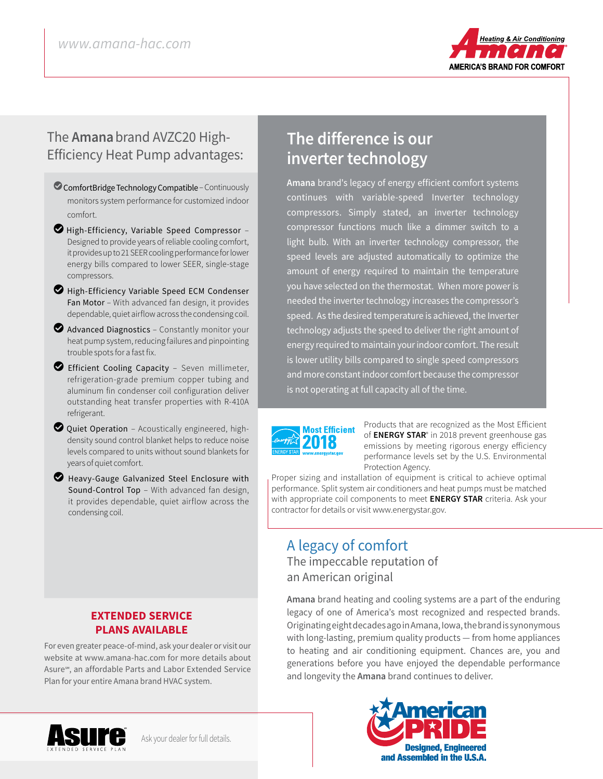

## The **Amana**brand AVZC20 High-Efficiency Heat Pump advantages:

- ComfortBridge Technology Compatible Continuously monitors system performance for customized indoor comfort.
- $\bullet$  High-Efficiency, Variable Speed Compressor Designed to provide years of reliable cooling comfort, it provides up to 21 SEER cooling performance for lower energy bills compared to lower SEER, single-stage compressors.
- $\bullet$  High-Efficiency Variable Speed ECM Condenser Fan Motor – With advanced fan design, it provides dependable, quiet airflow across the condensing coil.
- $\bullet$  Advanced Diagnostics Constantly monitor your heat pump system, reducing failures and pinpointing trouble spots for a fast fix.
- LEfficient Cooling Capacity Seven millimeter, refrigeration-grade premium copper tubing and aluminum fin condenser coil configuration deliver outstanding heat transfer properties with R-410A refrigerant.
- $\bullet$  Quiet Operation Acoustically engineered, highdensity sound control blanket helps to reduce noise levels compared to units without sound blankets for years of quiet comfort.
- **Z** Heavy-Gauge Galvanized Steel Enclosure with Sound-Control Top – With advanced fan design, it provides dependable, quiet airflow across the condensing coil.

#### **EXTENDED SERVICE PLANS AVAILABLE**

For even greater peace-of-mind, ask your dealer or visit our website at www.amana-hac.com for more details about Asure℠, an affordable Parts and Labor Extended Service Plan for your entire Amana brand HVAC system.

# **The difference is our inverter technology**

**Amana** brand's legacy of energy efficient comfort systems continues with variable-speed Inverter technology compressors. Simply stated, an inverter technology compressor functions much like a dimmer switch to a light bulb. With an inverter technology compressor, the speed levels are adjusted automatically to optimize the amount of energy required to maintain the temperature you have selected on the thermostat. When more power is needed the inverter technology increases the compressor's speed. As the desired temperature is achieved, the Inverter technology adjusts the speed to deliver the right amount of energy required to maintain your indoor comfort. The result is lower utility bills compared to single speed compressors and more constant indoor comfort because the compressor is not operating at full capacity all of the time.



Products that are recognized as the Most Efficient of **ENERGY STAR**® in 2018 prevent greenhouse gas emissions by meeting rigorous energy efficiency performance levels set by the U.S. Environmental Protection Agency.

Proper sizing and installation of equipment is critical to achieve optimal performance. Split system air conditioners and heat pumps must be matched with appropriate coil components to meet **ENERGY STAR** criteria. Ask your contractor for details or visit www.energystar.gov.

### A legacy of comfort The impeccable reputation of an American original

**Amana** brand heating and cooling systems are a part of the enduring legacy of one of America's most recognized and respected brands. Originating eight decades ago in Amana, Iowa, the brand is synonymous with long-lasting, premium quality products — from home appliances to heating and air conditioning equipment. Chances are, you and generations before you have enjoyed the dependable performance and longevity the **Amana** brand continues to deliver.